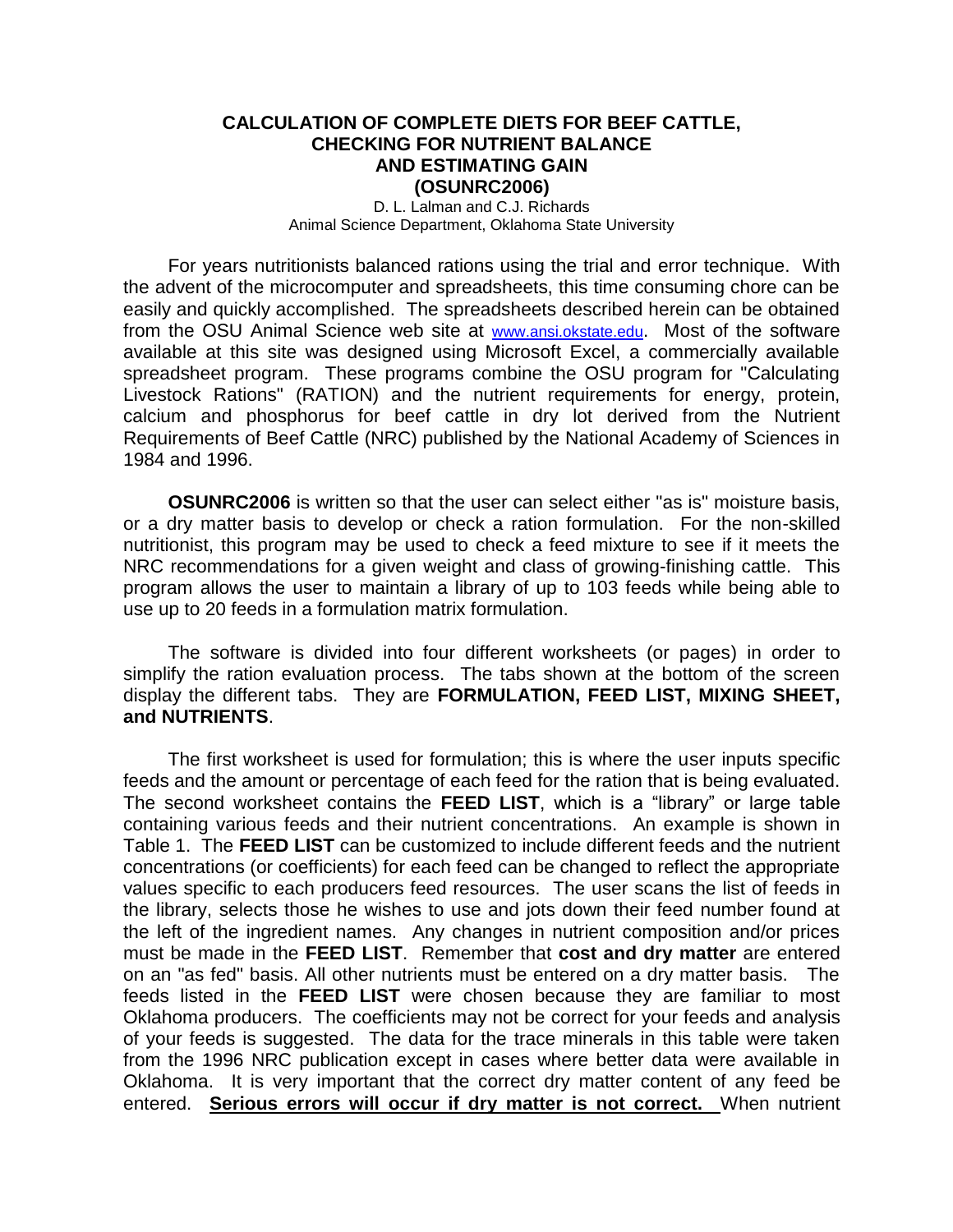# **CALCULATION OF COMPLETE DIETS FOR BEEF CATTLE, CHECKING FOR NUTRIENT BALANCE AND ESTIMATING GAIN (OSUNRC2006)**

D. L. Lalman and C.J. Richards Animal Science Department, Oklahoma State University

For years nutritionists balanced rations using the trial and error technique. With the advent of the microcomputer and spreadsheets, this time consuming chore can be easily and quickly accomplished. The spreadsheets described herein can be obtained from the OSU Animal Science web site at [www.ansi.okstate.edu](http://www.ansi.okstate.edu/). Most of the software available at this site was designed using Microsoft Excel, a commercially available spreadsheet program. These programs combine the OSU program for "Calculating Livestock Rations" (RATION) and the nutrient requirements for energy, protein, calcium and phosphorus for beef cattle in dry lot derived from the Nutrient Requirements of Beef Cattle (NRC) published by the National Academy of Sciences in 1984 and 1996.

**OSUNRC2006** is written so that the user can select either "as is" moisture basis, or a dry matter basis to develop or check a ration formulation. For the non-skilled nutritionist, this program may be used to check a feed mixture to see if it meets the NRC recommendations for a given weight and class of growing-finishing cattle. This program allows the user to maintain a library of up to 103 feeds while being able to use up to 20 feeds in a formulation matrix formulation.

The software is divided into four different worksheets (or pages) in order to simplify the ration evaluation process. The tabs shown at the bottom of the screen display the different tabs. They are **FORMULATION, FEED LIST, MIXING SHEET, and NUTRIENTS**.

The first worksheet is used for formulation; this is where the user inputs specific feeds and the amount or percentage of each feed for the ration that is being evaluated. The second worksheet contains the **FEED LIST**, which is a "library" or large table containing various feeds and their nutrient concentrations. An example is shown in Table 1. The **FEED LIST** can be customized to include different feeds and the nutrient concentrations (or coefficients) for each feed can be changed to reflect the appropriate values specific to each producers feed resources. The user scans the list of feeds in the library, selects those he wishes to use and jots down their feed number found at the left of the ingredient names. Any changes in nutrient composition and/or prices must be made in the **FEED LIST**. Remember that **cost and dry matter** are entered on an "as fed" basis. All other nutrients must be entered on a dry matter basis. The feeds listed in the **FEED LIST** were chosen because they are familiar to most Oklahoma producers. The coefficients may not be correct for your feeds and analysis of your feeds is suggested. The data for the trace minerals in this table were taken from the 1996 NRC publication except in cases where better data were available in Oklahoma. It is very important that the correct dry matter content of any feed be entered. **Serious errors will occur if dry matter is not correct.** When nutrient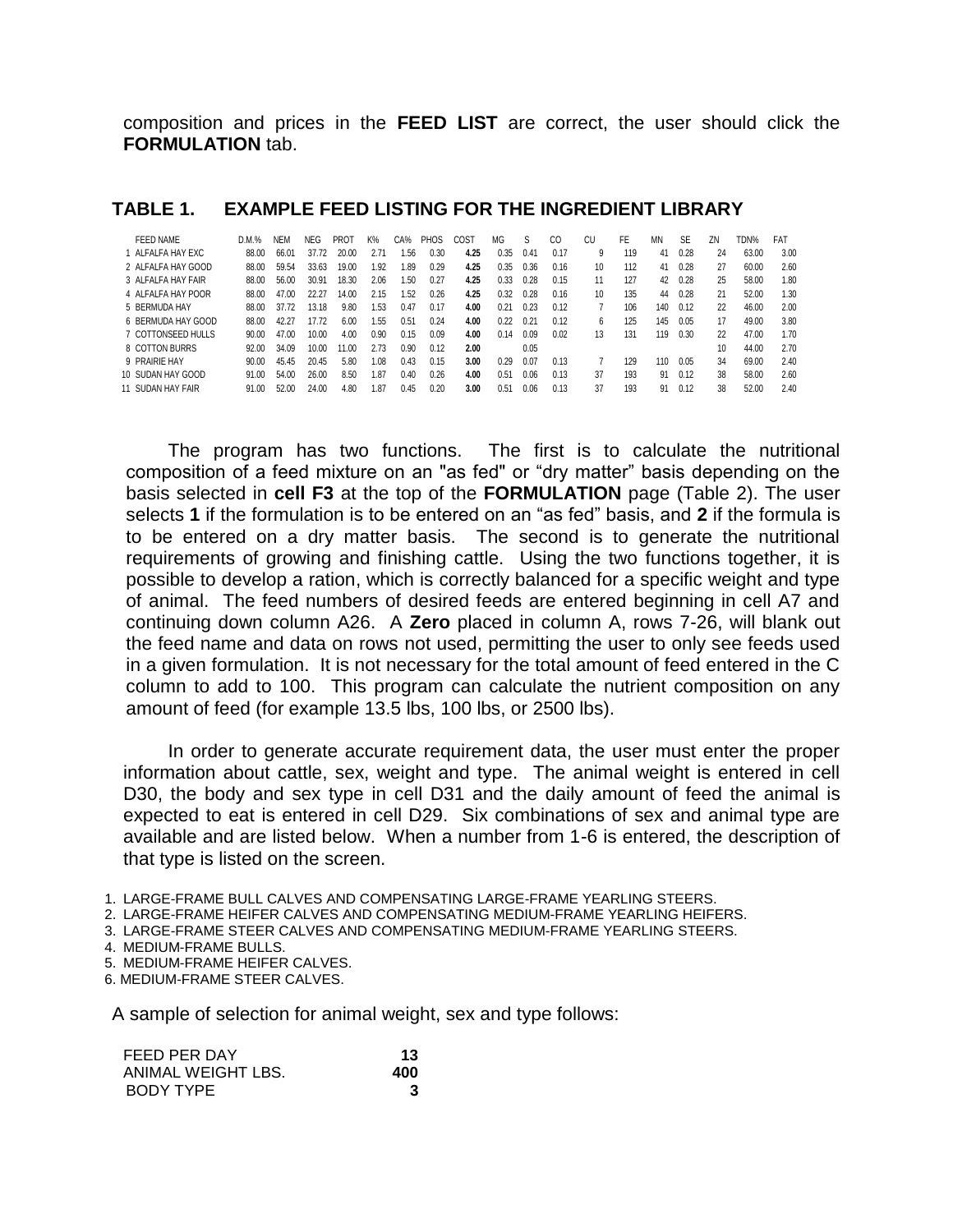composition and prices in the **FEED LIST** are correct, the user should click the **FORMULATION** tab.

| FEED NAME          | D.M.% | <b>NEM</b> | NEG.  | <b>PROT</b> | K%   | CA%  | PHOS | COST | MG   | S    | CO   | CU               | <b>FE</b> | MN  | <b>SE</b> | ΖN | TDN%  | <b>FAT</b> |
|--------------------|-------|------------|-------|-------------|------|------|------|------|------|------|------|------------------|-----------|-----|-----------|----|-------|------------|
| 1 ALFALFA HAY EXC  | 88.00 | 66.01      | 37.72 | 20.00       | 2.71 | .56  | 0.30 | 4.25 | 0.35 | 0.41 | 0.17 | 9                | 119       | 41  | 0.28      | 24 | 63.00 | 3.00       |
| 2 ALFALFA HAY GOOD | 88.00 | 59.54      | 33.63 | 19.00       | 1.92 | 1.89 | 0.29 | 4.25 | 0.35 | 0.36 | 0.16 | 10 <sup>10</sup> | 112       | 41  | 0.28      | 27 | 60.00 | 2.60       |
| 3 ALFALFA HAY FAIR | 88.00 | 56.00      | 30.91 | 18.30       | 2.06 | .50  | 0.27 | 4.25 | 0.33 | 0.28 | 0.15 | 11               | 127       | 42  | 0.28      | 25 | 58.00 | 1.80       |
| 4 ALFALFA HAY POOR | 88.00 | 47.00      | 22.27 | 14.00       | 2.15 | .52  | 0.26 | 4.25 | 0.32 | 0.28 | 0.16 | 10               | 135       | 44  | 0.28      | 21 | 52.00 | 1.30       |
| 5 BERMUDA HAY      | 88.00 | 37.72      | 13.18 | 9.80        | .53  | 0.47 | 0.17 | 4.00 | 0.21 | 0.23 | 0.12 |                  | 106       | 140 | 0.12      | 22 | 46.00 | 2.00       |
| 6 BERMUDA HAY GOOD | 88.00 | 42.27      | 17.72 | 6.00        | .55  | 0.51 | 0.24 | 4.00 | 0.22 | 0.21 | 0.12 | 6                | 125       | 145 | 0.05      | 17 | 49.00 | 3.80       |
| 7 COTTONSEED HULLS | 90.00 | 47.00      | 10.00 | 4.00        | 0.90 | 0.15 | 0.09 | 4.00 | 0.14 | 0.09 | 0.02 | 13               | 131       | 119 | 0.30      | 22 | 47.00 | 1.70       |
| 8 COTTON BURRS     | 92.00 | 34.09      | 10.00 | 11.00       | 2.73 | 0.90 | 0.12 | 2.00 |      | 0.05 |      |                  |           |     |           | 10 | 44.00 | 2.70       |
| 9 PRAIRIE HAY      | 90.00 | 45.45      | 20.45 | 5.80        | 1.08 | 0.43 | 0.15 | 3.00 | 0.29 | 0.07 | 0.13 |                  | 129       | 110 | 0.05      | 34 | 69.00 | 2.40       |
| 10 SUDAN HAY GOOD  | 91.00 | 54.00      | 26.00 | 8.50        | 1.87 | 0.40 | 0.26 | 4.00 | 0.51 | 0.06 | 0.13 | 37               | 193       | 91  | 0.12      | 38 | 58.00 | 2.60       |
| 11 SUDAN HAY FAIR  | 91.00 | 52.00      | 24.00 | 4.80        | i.87 | 0.45 | 0.20 | 3.00 | 0.51 | 0.06 | 0.13 | 37               | 193       | 91  | 0.12      | 38 | 52.00 | 2.40       |

## **TABLE 1. EXAMPLE FEED LISTING FOR THE INGREDIENT LIBRARY**

The program has two functions. The first is to calculate the nutritional composition of a feed mixture on an "as fed" or "dry matter" basis depending on the basis selected in **cell F3** at the top of the **FORMULATION** page (Table 2). The user selects **1** if the formulation is to be entered on an "as fed" basis, and **2** if the formula is to be entered on a dry matter basis. The second is to generate the nutritional requirements of growing and finishing cattle. Using the two functions together, it is possible to develop a ration, which is correctly balanced for a specific weight and type of animal. The feed numbers of desired feeds are entered beginning in cell A7 and continuing down column A26. A **Zero** placed in column A, rows 7-26, will blank out the feed name and data on rows not used, permitting the user to only see feeds used in a given formulation. It is not necessary for the total amount of feed entered in the C column to add to 100. This program can calculate the nutrient composition on any amount of feed (for example 13.5 lbs, 100 lbs, or 2500 lbs).

In order to generate accurate requirement data, the user must enter the proper information about cattle, sex, weight and type. The animal weight is entered in cell D30, the body and sex type in cell D31 and the daily amount of feed the animal is expected to eat is entered in cell D29. Six combinations of sex and animal type are available and are listed below. When a number from 1-6 is entered, the description of that type is listed on the screen.

1. LARGE-FRAME BULL CALVES AND COMPENSATING LARGE-FRAME YEARLING STEERS.

2. LARGE-FRAME HEIFER CALVES AND COMPENSATING MEDIUM-FRAME YEARLING HEIFERS.

3. LARGE-FRAME STEER CALVES AND COMPENSATING MEDIUM-FRAME YEARLING STEERS.

4. MEDIUM-FRAME BULLS.

5. MEDIUM-FRAME HEIFER CALVES.

6. MEDIUM-FRAME STEER CALVES.

A sample of selection for animal weight, sex and type follows:

| FEED PER DAY       | 13  |
|--------------------|-----|
| ANIMAL WEIGHT LBS. | 400 |
| BODY TYPE          |     |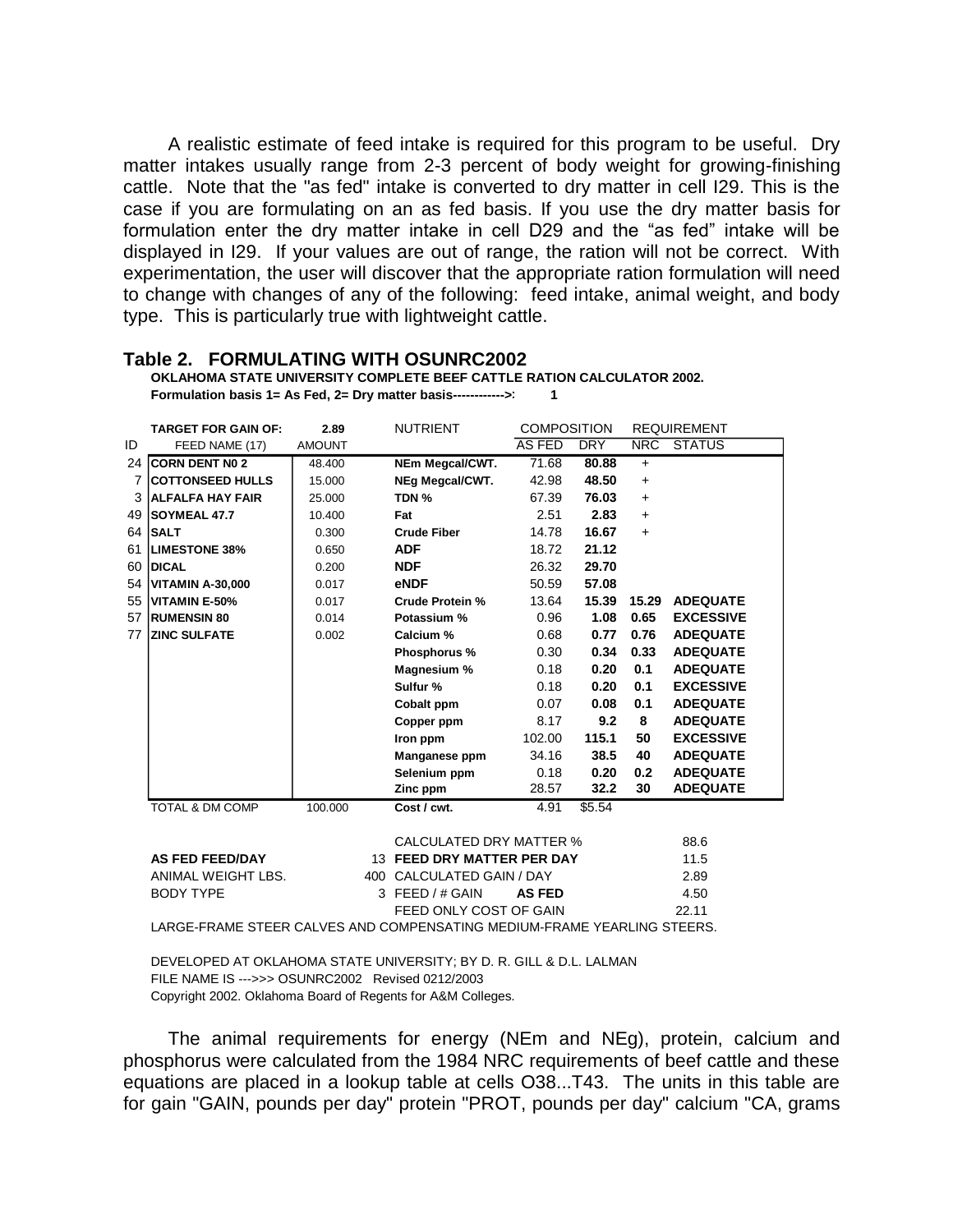A realistic estimate of feed intake is required for this program to be useful. Dry matter intakes usually range from 2-3 percent of body weight for growing-finishing cattle. Note that the "as fed" intake is converted to dry matter in cell I29. This is the case if you are formulating on an as fed basis. If you use the dry matter basis for formulation enter the dry matter intake in cell D29 and the "as fed" intake will be displayed in I29. If your values are out of range, the ration will not be correct. With experimentation, the user will discover that the appropriate ration formulation will need to change with changes of any of the following: feed intake, animal weight, and body type. This is particularly true with lightweight cattle.

|    | <b>TARGET FOR GAIN OF:</b>                                             | 2.89          | <b>NUTRIENT</b>                | <b>COMPOSITION</b> |            |            | <b>REQUIREMENT</b> |  |  |  |  |
|----|------------------------------------------------------------------------|---------------|--------------------------------|--------------------|------------|------------|--------------------|--|--|--|--|
| ID | FEED NAME (17)                                                         | <b>AMOUNT</b> |                                | AS FED             | <b>DRY</b> | <b>NRC</b> | <b>STATUS</b>      |  |  |  |  |
| 24 | <b>CORN DENT NO 2</b>                                                  | 48.400        | NEm Megcal/CWT.                | 71.68              | 80.88      | $+$        |                    |  |  |  |  |
| 7  | <b>COTTONSEED HULLS</b>                                                | 15.000        | NEg Megcal/CWT.                | 42.98              | 48.50      | $\ddot{}$  |                    |  |  |  |  |
| 3  | <b>ALFALFA HAY FAIR</b>                                                | 25,000        | TDN %                          | 67.39              | 76.03      | $\ddot{}$  |                    |  |  |  |  |
| 49 | <b>SOYMEAL 47.7</b>                                                    | 10.400        | Fat                            | 2.51               | 2.83       | $+$        |                    |  |  |  |  |
| 64 | <b>SALT</b>                                                            | 0.300         | <b>Crude Fiber</b>             | 14.78              | 16.67      | $+$        |                    |  |  |  |  |
| 61 | <b>LIMESTONE 38%</b>                                                   | 0.650         | <b>ADF</b>                     | 18.72              | 21.12      |            |                    |  |  |  |  |
| 60 | <b>DICAL</b>                                                           | 0.200         | <b>NDF</b>                     | 26.32              | 29.70      |            |                    |  |  |  |  |
| 54 | <b>VITAMIN A-30,000</b>                                                | 0.017         | eNDF                           | 50.59              | 57.08      |            |                    |  |  |  |  |
| 55 | <b>VITAMIN E-50%</b>                                                   | 0.017         | <b>Crude Protein %</b>         | 13.64              | 15.39      | 15.29      | <b>ADEQUATE</b>    |  |  |  |  |
| 57 | <b>RUMENSIN 80</b>                                                     | 0.014         | Potassium %                    | 0.96               | 1.08       | 0.65       | <b>EXCESSIVE</b>   |  |  |  |  |
| 77 | <b>ZINC SULFATE</b>                                                    | 0.002         | Calcium %                      | 0.68               | 0.77       | 0.76       | <b>ADEQUATE</b>    |  |  |  |  |
|    |                                                                        |               | Phosphorus %                   | 0.30               | 0.34       | 0.33       | <b>ADEQUATE</b>    |  |  |  |  |
|    |                                                                        |               | Magnesium %                    | 0.18               | 0.20       | 0.1        | <b>ADEQUATE</b>    |  |  |  |  |
|    |                                                                        |               | Sulfur %                       | 0.18               | 0.20       | 0.1        | <b>EXCESSIVE</b>   |  |  |  |  |
|    |                                                                        |               | Cobalt ppm                     | 0.07               | 0.08       | 0.1        | <b>ADEQUATE</b>    |  |  |  |  |
|    |                                                                        |               | Copper ppm                     | 8.17               | 9.2        | 8          | <b>ADEQUATE</b>    |  |  |  |  |
|    |                                                                        |               | Iron ppm                       | 102.00             | 115.1      | 50         | <b>EXCESSIVE</b>   |  |  |  |  |
|    |                                                                        |               | Manganese ppm                  | 34.16              | 38.5       | 40         | <b>ADEQUATE</b>    |  |  |  |  |
|    |                                                                        |               | Selenium ppm                   | 0.18               | 0.20       | 0.2        | <b>ADEQUATE</b>    |  |  |  |  |
|    |                                                                        |               | Zinc ppm                       | 28.57              | 32.2       | 30         | <b>ADEQUATE</b>    |  |  |  |  |
|    | <b>TOTAL &amp; DM COMP</b>                                             | 100.000       | Cost / cwt.                    | 4.91               | \$5.54     |            |                    |  |  |  |  |
|    |                                                                        |               |                                |                    |            |            |                    |  |  |  |  |
|    |                                                                        |               | <b>CALCULATED DRY MATTER %</b> |                    |            |            | 88.6               |  |  |  |  |
|    | <b>AS FED FEED/DAY</b>                                                 |               | 13 FEED DRY MATTER PER DAY     |                    |            |            | 11.5               |  |  |  |  |
|    | ANIMAL WEIGHT LBS.                                                     |               | CALCULATED GAIN / DAY<br>400   |                    |            |            | 2.89               |  |  |  |  |
|    | <b>BODY TYPE</b>                                                       |               | FEED / # GAIN<br>3             | <b>AS FED</b>      |            |            | 4.50               |  |  |  |  |
|    |                                                                        |               | FEED ONLY COST OF GAIN         |                    |            |            | 22.11              |  |  |  |  |
|    | LADOE EDAME OTEED OALVEO AND OOMDENOATINO MEDIUM EDAME VEADLINO OTEEDO |               |                                |                    |            |            |                    |  |  |  |  |

**Table 2. FORMULATING WITH OSUNRC2002**

**OKLAHOMA STATE UNIVERSITY COMPLETE BEEF CATTLE RATION CALCULATOR 2002. Formulation basis 1= As Fed, 2= Dry matter basis------------>> 1**

LARGE-FRAME STEER CALVES AND COMPENSATING MEDIUM-FRAME YEARLING STEERS.

DEVELOPED AT OKLAHOMA STATE UNIVERSITY; BY D. R. GILL & D.L. LALMAN FILE NAME IS --->>> OSUNRC2002 Revised 0212/2003 Copyright 2002. Oklahoma Board of Regents for A&M Colleges.

The animal requirements for energy (NEm and NEg), protein, calcium and phosphorus were calculated from the 1984 NRC requirements of beef cattle and these equations are placed in a lookup table at cells O38...T43. The units in this table are for gain "GAIN, pounds per day" protein "PROT, pounds per day" calcium "CA, grams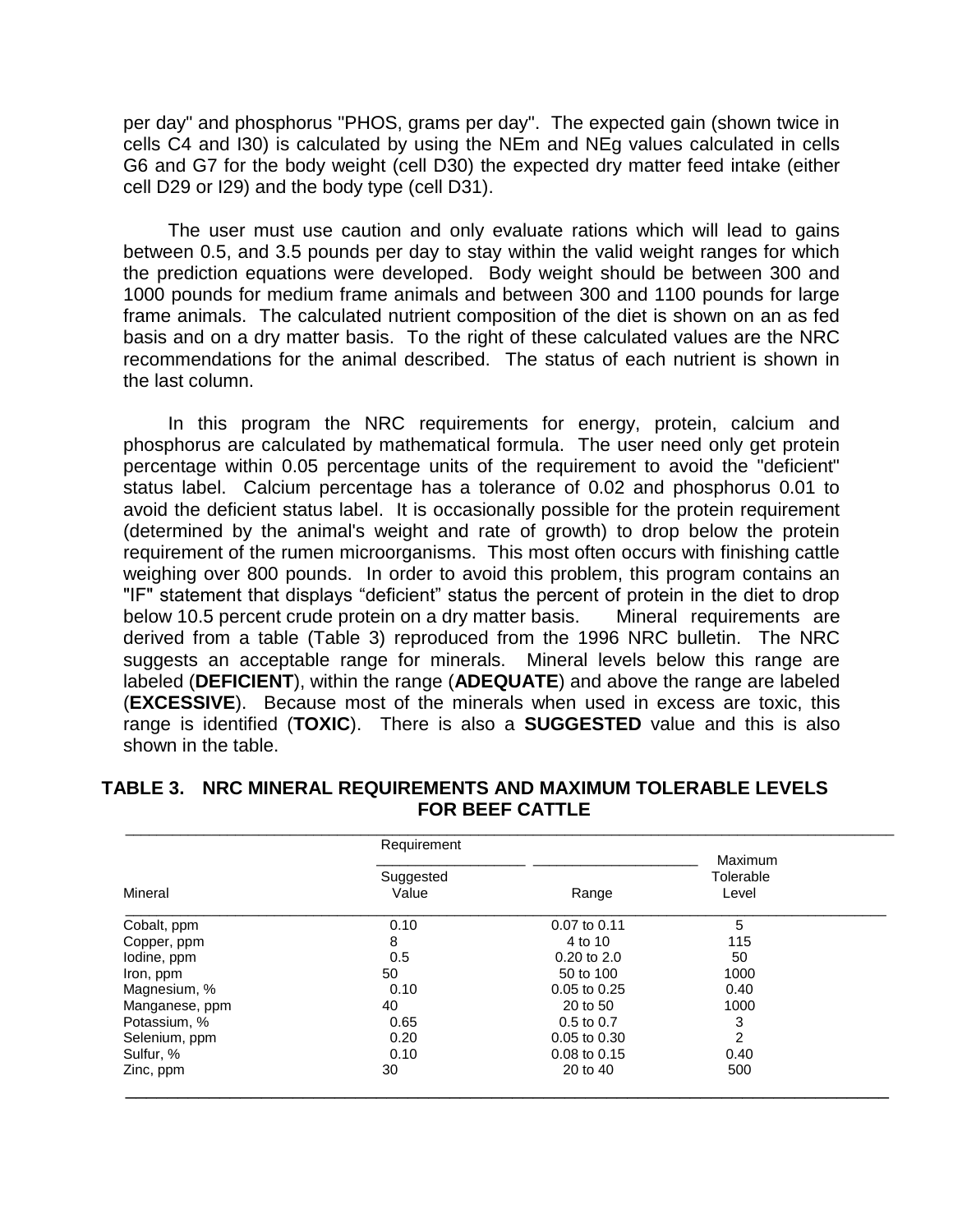per day" and phosphorus "PHOS, grams per day". The expected gain (shown twice in cells C4 and I30) is calculated by using the NEm and NEg values calculated in cells G6 and G7 for the body weight (cell D30) the expected dry matter feed intake (either cell D29 or I29) and the body type (cell D31).

The user must use caution and only evaluate rations which will lead to gains between 0.5, and 3.5 pounds per day to stay within the valid weight ranges for which the prediction equations were developed. Body weight should be between 300 and 1000 pounds for medium frame animals and between 300 and 1100 pounds for large frame animals. The calculated nutrient composition of the diet is shown on an as fed basis and on a dry matter basis. To the right of these calculated values are the NRC recommendations for the animal described. The status of each nutrient is shown in the last column.

In this program the NRC requirements for energy, protein, calcium and phosphorus are calculated by mathematical formula. The user need only get protein percentage within 0.05 percentage units of the requirement to avoid the "deficient" status label. Calcium percentage has a tolerance of 0.02 and phosphorus 0.01 to avoid the deficient status label. It is occasionally possible for the protein requirement (determined by the animal's weight and rate of growth) to drop below the protein requirement of the rumen microorganisms. This most often occurs with finishing cattle weighing over 800 pounds. In order to avoid this problem, this program contains an "IF" statement that displays "deficient" status the percent of protein in the diet to drop below 10.5 percent crude protein on a dry matter basis. Mineral requirements are derived from a table (Table 3) reproduced from the 1996 NRC bulletin. The NRC suggests an acceptable range for minerals. Mineral levels below this range are labeled (**DEFICIENT**), within the range (**ADEQUATE**) and above the range are labeled (**EXCESSIVE**). Because most of the minerals when used in excess are toxic, this range is identified (**TOXIC**). There is also a **SUGGESTED** value and this is also shown in the table.

|                | Requirement        |                  | Maximum            |  |
|----------------|--------------------|------------------|--------------------|--|
| Mineral        | Suggested<br>Value | Range            | Tolerable<br>Level |  |
| Cobalt, ppm    | 0.10               | 0.07 to 0.11     | 5                  |  |
| Copper, ppm    | 8                  | 4 to 10          | 115                |  |
| lodine, ppm    | 0.5                | $0.20$ to $2.0$  | 50                 |  |
| Iron, ppm      | 50                 | 50 to 100        | 1000               |  |
| Magnesium, %   | 0.10               | 0.05 to 0.25     | 0.40               |  |
| Manganese, ppm | 40                 | 20 to 50         | 1000               |  |
| Potassium, %   | 0.65               | $0.5$ to $0.7$   | 3                  |  |
| Selenium, ppm  | 0.20               | $0.05$ to $0.30$ | 2                  |  |
| Sulfur, %      | 0.10               | $0.08$ to $0.15$ | 0.40               |  |
| Zinc, ppm      | 30                 | 20 to 40         | 500                |  |

# **TABLE 3. NRC MINERAL REQUIREMENTS AND MAXIMUM TOLERABLE LEVELS FOR BEEF CATTLE**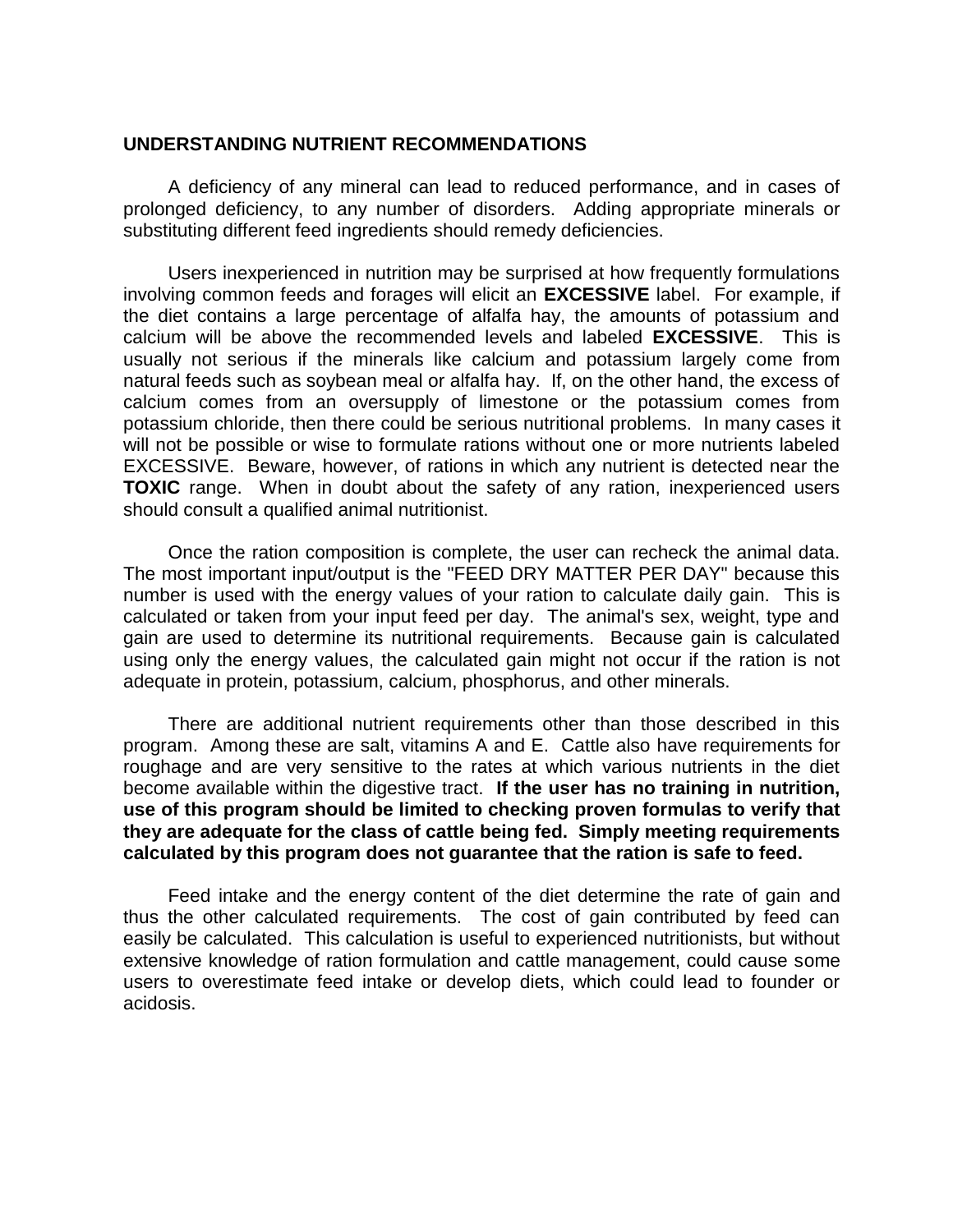### **UNDERSTANDING NUTRIENT RECOMMENDATIONS**

A deficiency of any mineral can lead to reduced performance, and in cases of prolonged deficiency, to any number of disorders. Adding appropriate minerals or substituting different feed ingredients should remedy deficiencies.

Users inexperienced in nutrition may be surprised at how frequently formulations involving common feeds and forages will elicit an **EXCESSIVE** label. For example, if the diet contains a large percentage of alfalfa hay, the amounts of potassium and calcium will be above the recommended levels and labeled **EXCESSIVE**. This is usually not serious if the minerals like calcium and potassium largely come from natural feeds such as soybean meal or alfalfa hay. If, on the other hand, the excess of calcium comes from an oversupply of limestone or the potassium comes from potassium chloride, then there could be serious nutritional problems. In many cases it will not be possible or wise to formulate rations without one or more nutrients labeled EXCESSIVE. Beware, however, of rations in which any nutrient is detected near the **TOXIC** range. When in doubt about the safety of any ration, inexperienced users should consult a qualified animal nutritionist.

Once the ration composition is complete, the user can recheck the animal data. The most important input/output is the "FEED DRY MATTER PER DAY" because this number is used with the energy values of your ration to calculate daily gain. This is calculated or taken from your input feed per day. The animal's sex, weight, type and gain are used to determine its nutritional requirements. Because gain is calculated using only the energy values, the calculated gain might not occur if the ration is not adequate in protein, potassium, calcium, phosphorus, and other minerals.

There are additional nutrient requirements other than those described in this program. Among these are salt, vitamins A and E. Cattle also have requirements for roughage and are very sensitive to the rates at which various nutrients in the diet become available within the digestive tract. **If the user has no training in nutrition, use of this program should be limited to checking proven formulas to verify that they are adequate for the class of cattle being fed. Simply meeting requirements calculated by this program does not guarantee that the ration is safe to feed.**

Feed intake and the energy content of the diet determine the rate of gain and thus the other calculated requirements. The cost of gain contributed by feed can easily be calculated. This calculation is useful to experienced nutritionists, but without extensive knowledge of ration formulation and cattle management, could cause some users to overestimate feed intake or develop diets, which could lead to founder or acidosis.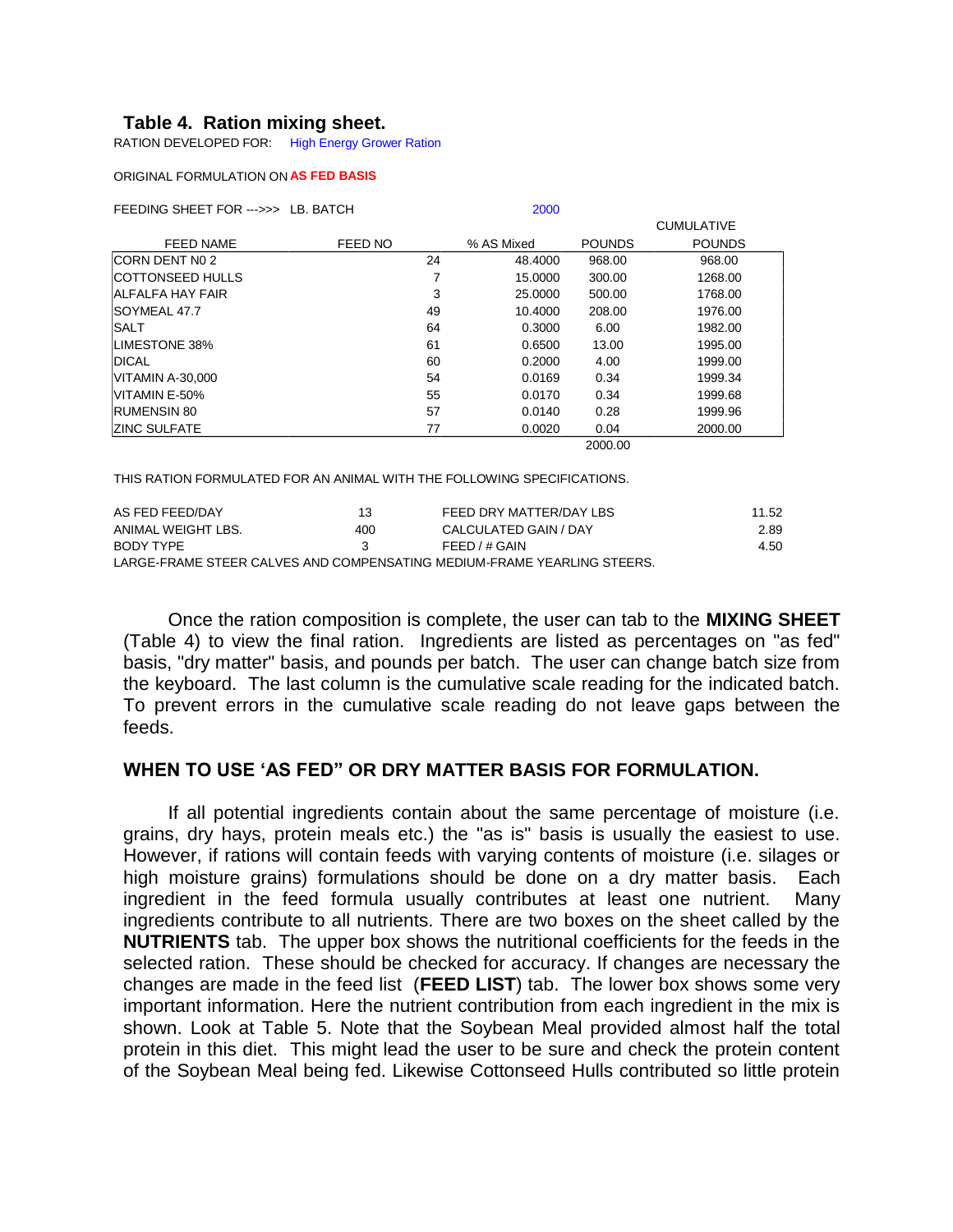## **Table 4. Ration mixing sheet.**

RATION DEVELOPED FOR: High Energy Grower Ration

#### ORIGINAL FORMULATION ON **AS FED BASIS**

FEEDING SHEET FOR --->>> LB. BATCH 2000

|                         |         |            |               | <b>CUMULATIVE</b> |
|-------------------------|---------|------------|---------------|-------------------|
| <b>FEED NAME</b>        | FEED NO | % AS Mixed | <b>POUNDS</b> | <b>POUNDS</b>     |
| CORN DENT N0 2          | 24      | 48.4000    | 968.00        | 968.00            |
| <b>COTTONSEED HULLS</b> | 7       | 15.0000    | 300.00        | 1268.00           |
| ALFALFA HAY FAIR        | 3       | 25.0000    | 500.00        | 1768.00           |
| SOYMEAL 47.7            | 49      | 10.4000    | 208.00        | 1976.00           |
| SALT                    | 64      | 0.3000     | 6.00          | 1982.00           |
| LIMESTONE 38%           | 61      | 0.6500     | 13.00         | 1995.00           |
| <b>DICAL</b>            | 60      | 0.2000     | 4.00          | 1999.00           |
| VITAMIN A-30,000        | 54      | 0.0169     | 0.34          | 1999.34           |
| VITAMIN E-50%           | 55      | 0.0170     | 0.34          | 1999.68           |
| <b>RUMENSIN 80</b>      | 57      | 0.0140     | 0.28          | 1999.96           |
| <b>ZINC SULFATE</b>     | 77      | 0.0020     | 0.04          | 2000.00           |
|                         |         |            | 2000.00       |                   |

2000.00

THIS RATION FORMULATED FOR AN ANIMAL WITH THE FOLLOWING SPECIFICATIONS.

| AS FED FEED/DAY                                                          | 13  | FEED DRY MATTER/DAY LBS | 11.52 |  |  |  |  |  |  |  |  |
|--------------------------------------------------------------------------|-----|-------------------------|-------|--|--|--|--|--|--|--|--|
| ANIMAL WEIGHT LBS.                                                       | 400 | CALCULATED GAIN / DAY   | 2.89  |  |  |  |  |  |  |  |  |
| BODY TYPE                                                                |     | FEED / # GAIN           | 4.50  |  |  |  |  |  |  |  |  |
| LARGE-FRAME STEER CALVES AND COMPENSATING MEDILIM-FRAME YEARLING STEERS. |     |                         |       |  |  |  |  |  |  |  |  |

LGE-FRAME STEER CALVES AND COMPENSATING MEDIUM-F

Once the ration composition is complete, the user can tab to the **MIXING SHEET** (Table 4) to view the final ration. Ingredients are listed as percentages on "as fed" basis, "dry matter" basis, and pounds per batch. The user can change batch size from the keyboard. The last column is the cumulative scale reading for the indicated batch. To prevent errors in the cumulative scale reading do not leave gaps between the feeds.

### **WHEN TO USE 'AS FED" OR DRY MATTER BASIS FOR FORMULATION.**

If all potential ingredients contain about the same percentage of moisture (i.e. grains, dry hays, protein meals etc.) the "as is" basis is usually the easiest to use. However, if rations will contain feeds with varying contents of moisture (i.e. silages or high moisture grains) formulations should be done on a dry matter basis. Each ingredient in the feed formula usually contributes at least one nutrient. Many ingredients contribute to all nutrients. There are two boxes on the sheet called by the **NUTRIENTS** tab. The upper box shows the nutritional coefficients for the feeds in the selected ration. These should be checked for accuracy. If changes are necessary the changes are made in the feed list (**FEED LIST**) tab. The lower box shows some very important information. Here the nutrient contribution from each ingredient in the mix is shown. Look at Table 5. Note that the Soybean Meal provided almost half the total protein in this diet. This might lead the user to be sure and check the protein content of the Soybean Meal being fed. Likewise Cottonseed Hulls contributed so little protein